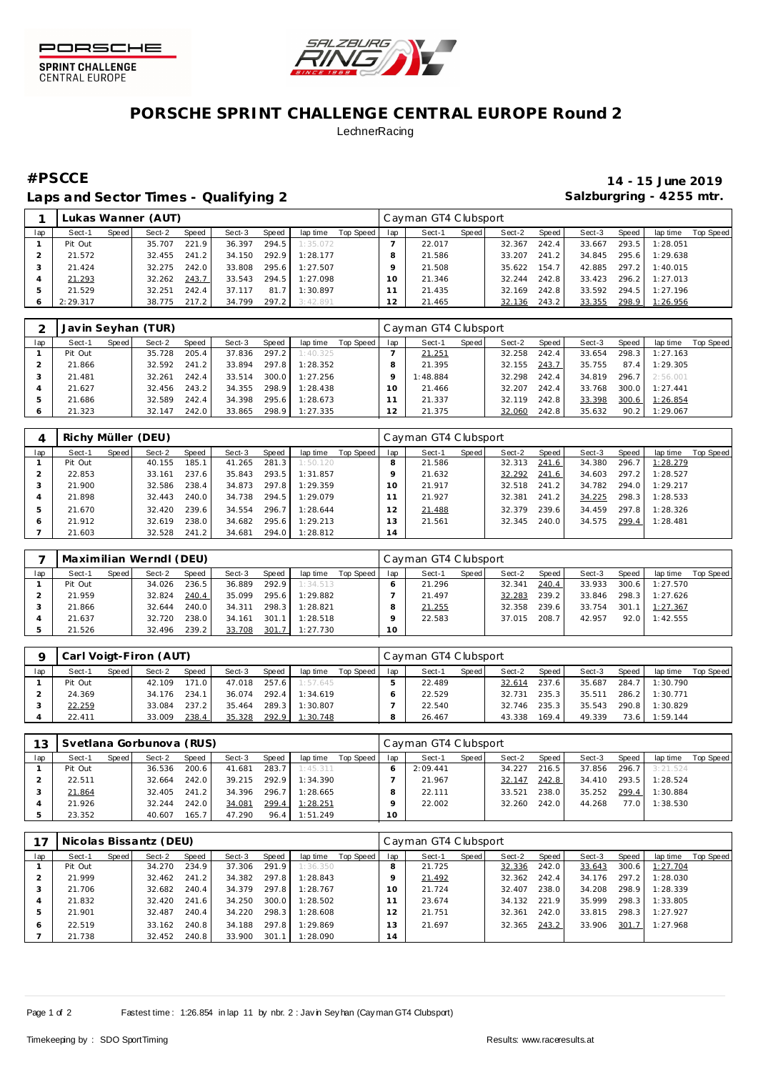



## **PORSCHE SPRINT CHALLENGE CENTRAL EUROPE Round 2 LechnerRacing**

### Laps and Sector Times - Qualifying 2 **Salzburgring - 4255 mtr.** And Salzburgring - 4255 mtr.

# **#PSCCE 14 - 15 June 2019**

|     |          |       | Lukas Wanner (AUT) |       |        |       |          |           |     | Cayman GT4 Clubsport |       |        |       |        |       |          |           |
|-----|----------|-------|--------------------|-------|--------|-------|----------|-----------|-----|----------------------|-------|--------|-------|--------|-------|----------|-----------|
| lap | Sect-1   | Speed | Sect-2             | Speed | Sect-3 | Speed | lap time | Top Speed | lap | Sect-1               | Speed | Sect-2 | Speed | Sect-3 | Speed | lap time | Top Speed |
|     | Pit Out  |       | 35.707             | 221.9 | 36.397 | 294.5 | 1:35.072 |           |     | 22.017               |       | 32.367 | 242.4 | 33.667 | 293.5 | 1:28.051 |           |
|     | 21.572   |       | 32.455             | 241.2 | 34.150 | 292.9 | 1:28.177 |           |     | 21.586               |       | 33.207 | 241.2 | 34.845 | 295.6 | 1:29.638 |           |
|     | 21.424   |       | 32.275             | 242.0 | 33.808 | 295.6 | 1:27.507 |           |     | 21.508               |       | 35.622 | 154.7 | 42.885 | 297.2 | 1:40.015 |           |
|     | 21.293   |       | 32.262             | 243.7 | 33.543 | 294.5 | 1:27.098 |           | 10  | 21.346               |       | 32.244 | 242.8 | 33.423 | 296.2 | 1:27.013 |           |
|     | 21.529   |       | 32.251             | 242.4 | 37.117 | 81.7  | 1:30.897 |           |     | 21.435               |       | 32.169 | 242.8 | 33.592 | 294.5 | 1:27.196 |           |
|     | 2:29.317 |       | 38.775             | 217.2 | 34.799 | 297.2 | 3:42.891 |           |     | 21.465               |       | 32.136 | 243.2 | 33.355 | 298.9 | 1:26.956 |           |

|     |         |       | Javin Seyhan (TUR) |       |        |       |          |           |                | Cayman GT4 Clubsport |       |        |       |        |       |          |           |
|-----|---------|-------|--------------------|-------|--------|-------|----------|-----------|----------------|----------------------|-------|--------|-------|--------|-------|----------|-----------|
| lap | Sect-1  | Speed | Sect-2             | Speed | Sect-3 | Speed | lap time | Top Speed | lap            | Sect-1               | Speed | Sect-2 | Speed | Sect-3 | Speed | lap time | Top Speed |
|     | Pit Out |       | 35.728             | 205.4 | 37.836 | 297.2 | 1:40.325 |           |                | 21.251               |       | 32.258 | 242.4 | 33.654 | 298.3 | 1:27.163 |           |
|     | 21.866  |       | 32.592             | 241.2 | 33.894 | 297.8 | 1:28.352 |           |                | 21.395               |       | 32.155 | 243.7 | 35.755 | 87.4  | 1:29.305 |           |
|     | 21.481  |       | 32.261             | 242.4 | 33.514 | 300.0 | 1:27.256 |           |                | 1:48.884             |       | 32.298 | 242.4 | 34.819 | 296.7 | 2:56.001 |           |
|     | 21.627  |       | 32.456             | 243.2 | 34.355 | 298.9 | 1:28.438 |           | 10             | 21.466               |       | 32.207 | 242.4 | 33.768 | 300.0 | 1:27.441 |           |
|     | 21.686  |       | 32.589             | 242.4 | 34.398 | 295.6 | 1:28.673 |           |                | 21.337               |       | 32.119 | 242.8 | 33.398 | 300.6 | 1:26.854 |           |
|     | 21.323  |       | 32.147             | 242.0 | 33.865 | 298.9 | 1:27.335 |           | $\overline{2}$ | 21.375               |       | 32.060 | 242.8 | 35.632 | 90.2  | 1:29.067 |           |

|     | Richy Müller (DEU) |       |        |       |        |       |          |           |          | Cayman GT4 Clubsport |       |        |       |        |       |          |           |
|-----|--------------------|-------|--------|-------|--------|-------|----------|-----------|----------|----------------------|-------|--------|-------|--------|-------|----------|-----------|
| lap | Sect-1             | Speed | Sect-2 | Speed | Sect-3 | Speed | lap time | Top Speed | lap      | Sect-1               | Speed | Sect-2 | Speed | Sect-3 | Speed | lap time | Top Speed |
|     | Pit Out            |       | 40.155 | 185.1 | 41.265 | 281.3 | 1:50.120 |           |          | 21.586               |       | 32.313 | 241.6 | 34.380 | 296.7 | 1:28.279 |           |
|     | 22.853             |       | 33.161 | 237.6 | 35.843 | 293.5 | 1:31.857 |           |          | 21.632               |       | 32.292 | 241.6 | 34.603 | 297.2 | 1:28.527 |           |
|     | 21.900             |       | 32.586 | 238.4 | 34.873 | 297.8 | 1:29.359 |           | $\Omega$ | 21.917               |       | 32.518 | 241.2 | 34.782 | 294.0 | 1:29.217 |           |
|     | 21.898             |       | 32.443 | 240.0 | 34.738 | 294.5 | 1:29.079 |           |          | 21.927               |       | 32.381 | 241.2 | 34.225 | 298.3 | 1:28.533 |           |
|     | 21.670             |       | 32.420 | 239.6 | 34.554 | 296.7 | 1:28.644 |           |          | 21.488               |       | 32.379 | 239.6 | 34.459 | 297.8 | 1:28.326 |           |
|     | 21.912             |       | 32.619 | 238.0 | 34.682 | 295.6 | 1:29.213 |           | 13       | 21.561               |       | 32.345 | 240.0 | 34.575 | 299.4 | 1:28.481 |           |
|     | 21.603             |       | 32.528 | 241.2 | 34.681 | 294.0 | 1:28.812 |           | 14       |                      |       |        |       |        |       |          |           |

|     |         |       | Maximilian Werndl (DEU) |       |        |       |          |           |     | Cayman GT4 Clubsport |       |        |        |        |       |          |           |
|-----|---------|-------|-------------------------|-------|--------|-------|----------|-----------|-----|----------------------|-------|--------|--------|--------|-------|----------|-----------|
| lap | Sect-1  | Speed | Sect-2                  | Speed | Sect-3 | Speed | lap time | Top Speed | lap | Sect-1               | Speed | Sect-2 | Speed, | Sect-3 | Speed | lap time | Top Speed |
|     | Pit Out |       | 34.026                  | 236.5 | 36.889 | 292.9 | 1:34.513 |           |     | 21.296               |       | 32.341 | 240.4  | 33.933 | 300.6 | 1:27.570 |           |
|     | 21.959  |       | 32.824                  | 240.4 | 35.099 | 295.6 | 1:29.882 |           |     | 21.497               |       | 32.283 | 239.2  | 33.846 | 298.3 | 1:27.626 |           |
|     | 21.866  |       | 32.644                  | 240.0 | 34.311 | 298.3 | 1:28.821 |           |     | 21.255               |       | 32.358 | 239.6  | 33.754 | 301.1 | 1:27.367 |           |
|     | 21.637  |       | 32.720                  | 238.0 | 34.161 | 301.1 | 1:28.518 |           |     | 22.583               |       | 37.015 | 208.7  | 42.957 | 92.0  | 1:42.555 |           |
|     | 21.526  |       | 32.496                  | 239.2 | 33.708 | 301.7 | 1:27.730 |           | 10  |                      |       |        |        |        |       |          |           |

|     |         |       | Carl Voigt-Firon (AUT) |       |        |       |          |           |     | Cayman GT4 Clubsport |       |        |       |        |       |          |           |
|-----|---------|-------|------------------------|-------|--------|-------|----------|-----------|-----|----------------------|-------|--------|-------|--------|-------|----------|-----------|
| lap | Sect-1  | Speed | Sect-2                 | Speed | Sect-3 | Speed | lap time | Top Speed | lap | Sect-1               | Speed | Sect-2 | Speed | Sect-3 | Speed | lap time | Top Speed |
|     | Pit Out |       | 42.109                 | 171.0 | 47.018 | 257.6 | 1:57.645 |           |     | 22.489               |       | 32.614 | 237.6 | 35.687 | 284.7 | 1:30.790 |           |
|     | 24.369  |       | 34.176                 | 234.1 | 36.074 | 292.4 | 1:34.619 |           |     | 22.529               |       | 32.731 | 235.3 | 35.511 | 286.2 | 1:30.771 |           |
|     | 22.259  |       | 33.084                 | 237.2 | 35.464 | 289.3 | 1:30.807 |           |     | 22.540               |       | 32.746 | 235.3 | 35.543 | 290.8 | 1:30.829 |           |
|     | 22.411  |       | 33.009                 | 238.4 | 35.328 | 292.9 | 1:30.748 |           |     | 26.467               |       | 43.338 | 169.4 | 49.339 | 73.6  | 1:59.144 |           |

| 12  |         |       | Svetlana Gorbunova (RUS) |       |        |       |          |           |     | Cayman GT4 Clubsport |       |        |       |        |       |          |           |
|-----|---------|-------|--------------------------|-------|--------|-------|----------|-----------|-----|----------------------|-------|--------|-------|--------|-------|----------|-----------|
| lap | Sect-1  | Speed | Sect-2                   | Speed | Sect-3 | Speed | lap time | Top Speed | lap | Sect-1               | Speed | Sect-2 | Speed | Sect-3 | Speed | lap time | Top Speed |
|     | Pit Out |       | 36.536                   | 200.6 | 41.681 | 283.7 | 1:45.311 |           |     | 2:09.441             |       | 34.227 | 216.5 | 37.856 | 296.7 | 3:21.524 |           |
|     | 22.511  |       | 32.664                   | 242.0 | 39.215 | 292.9 | 1:34.390 |           |     | 21.967               |       | 32.147 | 242.8 | 34.410 | 293.5 | 1:28.524 |           |
|     | 21.864  |       | 32.405                   | 241.2 | 34.396 | 296.7 | 1:28.665 |           |     | 22.111               |       | 33.521 | 238.0 | 35.252 | 299.4 | 1:30.884 |           |
|     | 21.926  |       | 32.244                   | 242.0 | 34.081 | 299.4 | 1:28.251 |           |     | 22.002               |       | 32.260 | 242.0 | 44.268 | 77.0  | 1:38.530 |           |
|     | 23.352  |       | 40.607                   | 165.7 | 47.290 | 96.4  | 1:51.249 |           | 10  |                      |       |        |       |        |       |          |           |

|     |         |       | Nicolas Bissantz (DEU) |       |        |       |          |           |                | Cayman GT4 Clubsport |       |        |       |        |       |          |           |
|-----|---------|-------|------------------------|-------|--------|-------|----------|-----------|----------------|----------------------|-------|--------|-------|--------|-------|----------|-----------|
| lap | Sect-1  | Speed | Sect-2                 | Speed | Sect-3 | Speed | lap time | Top Speed | lap            | Sect-1               | Speed | Sect-2 | Speed | Sect-3 | Speed | lap time | Top Speed |
|     | Pit Out |       | 34.270                 | 234.9 | 37.306 | 291.9 | 1:36.350 |           |                | 21.725               |       | 32.336 | 242.0 | 33.643 | 300.6 | 1:27.704 |           |
|     | 21.999  |       | 32.462                 | 241.2 | 34.382 | 297.8 | 1:28.843 |           |                | 21.492               |       | 32.362 | 242.4 | 34.176 | 297.2 | 1:28.030 |           |
|     | 21.706  |       | 32.682                 | 240.4 | 34.379 | 297.8 | 1:28.767 |           | 10             | 21.724               |       | 32.407 | 238.0 | 34.208 | 298.9 | 1:28.339 |           |
|     | 21.832  |       | 32.420                 | 241.6 | 34.250 | 300.0 | 1:28.502 |           |                | 23.674               |       | 34.132 | 221.9 | 35.999 | 298.3 | 1:33.805 |           |
| 5   | 21.901  |       | 32.487                 | 240.4 | 34.220 | 298.3 | 1:28.608 |           |                | 21.751               |       | 32.361 | 242.0 | 33.815 | 298.3 | 1:27.927 |           |
| 6   | 22.519  |       | 33.162                 | 240.8 | 34.188 | 297.8 | 1:29.869 |           | $\overline{3}$ | 21.697               |       | 32.365 | 243.2 | 33.906 | 301.7 | 1:27.968 |           |
|     | 21.738  |       | 32.452                 | 240.8 | 33.900 | 301.1 | 1:28.090 |           | 14             |                      |       |        |       |        |       |          |           |